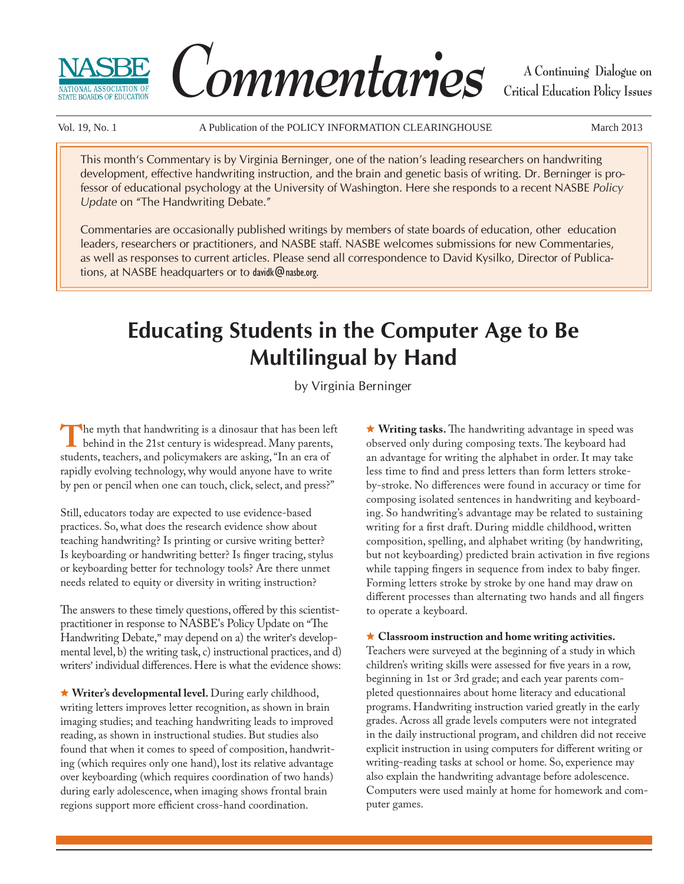



**A Continuing Dialogue on Critical Education Policy Issues**

Vol. 19, No. 1 A Publication of the POLICY INFORMATION CLEARINGHOUSE March 2013

This month's Commentary is by Virginia Berninger, one of the nation's leading researchers on handwriting development, effective handwriting instruction, and the brain and genetic basis of writing. Dr. Berninger is professor of educational psychology at the University of Washington. Here she responds to a recent NASBE *Policy Update* on "The Handwriting Debate."

Commentaries are occasionally published writings by members of state boards of education, other education leaders, researchers or practitioners, and NASBE staff. NASBE welcomes submissions for new Commentaries, as well as responses to current articles. Please send all correspondence to David Kysilko, Director of Publications, at NASBE headquarters or to davidk@nasbe.org.

# **Educating Students in the Computer Age to Be Multilingual by Hand**

by Virginia Berninger

The myth that handwriting is a dinosaur that has been left behind in the 21st century is widespread. Many parents, students, teachers, and policymakers are asking, "In an era of rapidly evolving technology, why would anyone have to write by pen or pencil when one can touch, click, select, and press?"

Still, educators today are expected to use evidence-based practices. So, what does the research evidence show about teaching handwriting? Is printing or cursive writing better? Is keyboarding or handwriting better? Is finger tracing, stylus or keyboarding better for technology tools? Are there unmet needs related to equity or diversity in writing instruction?

The answers to these timely questions, offered by this scientistpractitioner in response to NASBE's Policy Update on "The Handwriting Debate," may depend on a) the writer's developmental level, b) the writing task, c) instructional practices, and d) writers' individual differences. Here is what the evidence shows:

 **Writer's developmental level.** During early childhood, writing letters improves letter recognition, as shown in brain imaging studies; and teaching handwriting leads to improved reading, as shown in instructional studies. But studies also found that when it comes to speed of composition, handwriting (which requires only one hand), lost its relative advantage over keyboarding (which requires coordination of two hands) during early adolescence, when imaging shows frontal brain regions support more efficient cross-hand coordination.

★ Writing tasks. The handwriting advantage in speed was observed only during composing texts. The keyboard had an advantage for writing the alphabet in order. It may take less time to find and press letters than form letters strokeby-stroke. No differences were found in accuracy or time for composing isolated sentences in handwriting and keyboarding. So handwriting's advantage may be related to sustaining writing for a first draft. During middle childhood, written composition, spelling, and alphabet writing (by handwriting, but not keyboarding) predicted brain activation in five regions while tapping fingers in sequence from index to baby finger. Forming letters stroke by stroke by one hand may draw on different processes than alternating two hands and all fingers to operate a keyboard.

## **Classroom instruction and home writing activities.**

Teachers were surveyed at the beginning of a study in which children's writing skills were assessed for five years in a row, beginning in 1st or 3rd grade; and each year parents completed questionnaires about home literacy and educational programs. Handwriting instruction varied greatly in the early grades. Across all grade levels computers were not integrated in the daily instructional program, and children did not receive explicit instruction in using computers for different writing or writing-reading tasks at school or home. So, experience may also explain the handwriting advantage before adolescence. Computers were used mainly at home for homework and computer games.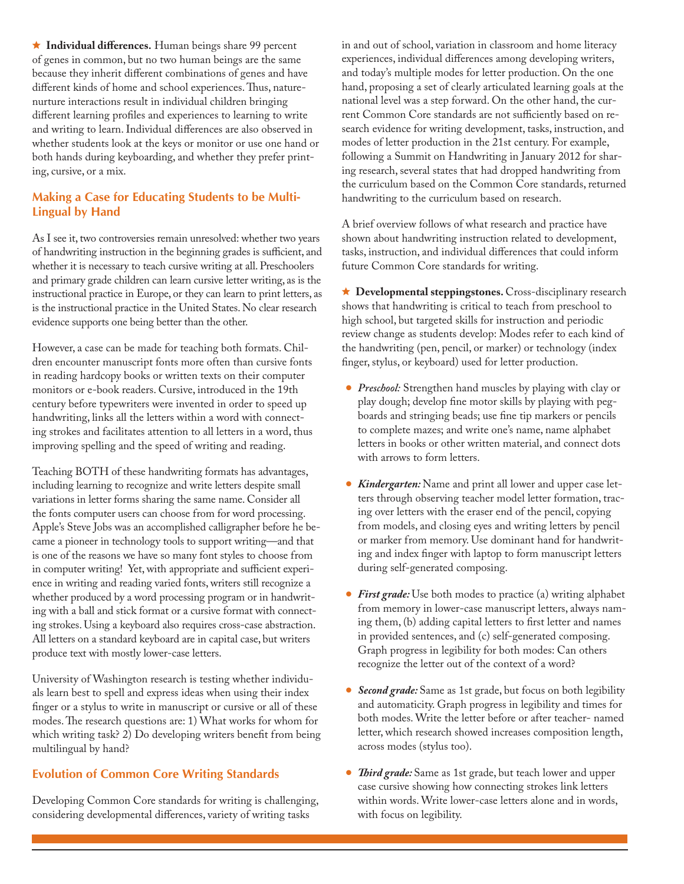$\star$  **Individual differences.** Human beings share 99 percent of genes in common, but no two human beings are the same because they inherit different combinations of genes and have different kinds of home and school experiences. Thus, naturenurture interactions result in individual children bringing different learning profiles and experiences to learning to write and writing to learn. Individual differences are also observed in whether students look at the keys or monitor or use one hand or both hands during keyboarding, and whether they prefer printing, cursive, or a mix.

## **Making a Case for Educating Students to be Multi-Lingual by Hand**

As I see it, two controversies remain unresolved: whether two years of handwriting instruction in the beginning grades is sufficient, and whether it is necessary to teach cursive writing at all. Preschoolers and primary grade children can learn cursive letter writing, as is the instructional practice in Europe, or they can learn to print letters, as is the instructional practice in the United States. No clear research evidence supports one being better than the other.

However, a case can be made for teaching both formats. Children encounter manuscript fonts more often than cursive fonts in reading hardcopy books or written texts on their computer monitors or e-book readers. Cursive, introduced in the 19th century before typewriters were invented in order to speed up handwriting, links all the letters within a word with connecting strokes and facilitates attention to all letters in a word, thus improving spelling and the speed of writing and reading.

Teaching BOTH of these handwriting formats has advantages, including learning to recognize and write letters despite small variations in letter forms sharing the same name. Consider all the fonts computer users can choose from for word processing. Apple's Steve Jobs was an accomplished calligrapher before he became a pioneer in technology tools to support writing—and that is one of the reasons we have so many font styles to choose from in computer writing! Yet, with appropriate and sufficient experience in writing and reading varied fonts, writers still recognize a whether produced by a word processing program or in handwriting with a ball and stick format or a cursive format with connecting strokes. Using a keyboard also requires cross-case abstraction. All letters on a standard keyboard are in capital case, but writers produce text with mostly lower-case letters.

University of Washington research is testing whether individuals learn best to spell and express ideas when using their index finger or a stylus to write in manuscript or cursive or all of these modes. The research questions are: 1) What works for whom for which writing task? 2) Do developing writers benefit from being multilingual by hand?

## **Evolution of Common Core Writing Standards**

Developing Common Core standards for writing is challenging, considering developmental differences, variety of writing tasks

in and out of school, variation in classroom and home literacy experiences, individual differences among developing writers, and today's multiple modes for letter production. On the one hand, proposing a set of clearly articulated learning goals at the national level was a step forward. On the other hand, the current Common Core standards are not sufficiently based on research evidence for writing development, tasks, instruction, and modes of letter production in the 21st century. For example, following a Summit on Handwriting in January 2012 for sharing research, several states that had dropped handwriting from the curriculum based on the Common Core standards, returned handwriting to the curriculum based on research.

A brief overview follows of what research and practice have shown about handwriting instruction related to development, tasks, instruction, and individual differences that could inform future Common Core standards for writing.

 **Developmental steppingstones.** Cross-disciplinary research shows that handwriting is critical to teach from preschool to high school, but targeted skills for instruction and periodic review change as students develop: Modes refer to each kind of the handwriting (pen, pencil, or marker) or technology (index finger, stylus, or keyboard) used for letter production.

- *Preschool:* Strengthen hand muscles by playing with clay or play dough; develop fine motor skills by playing with pegboards and stringing beads; use fine tip markers or pencils to complete mazes; and write one's name, name alphabet letters in books or other written material, and connect dots with arrows to form letters.
- *Kindergarten:* Name and print all lower and upper case letters through observing teacher model letter formation, tracing over letters with the eraser end of the pencil, copying from models, and closing eyes and writing letters by pencil or marker from memory. Use dominant hand for handwriting and index finger with laptop to form manuscript letters during self-generated composing.
- *First grade:* Use both modes to practice (a) writing alphabet from memory in lower-case manuscript letters, always naming them, (b) adding capital letters to first letter and names in provided sentences, and (c) self-generated composing. Graph progress in legibility for both modes: Can others recognize the letter out of the context of a word?
- *Second grade:* Same as 1st grade, but focus on both legibility and automaticity. Graph progress in legibility and times for both modes. Write the letter before or after teacher- named letter, which research showed increases composition length, across modes (stylus too).
- *Th ird grade:* Same as 1st grade, but teach lower and upper case cursive showing how connecting strokes link letters within words. Write lower-case letters alone and in words, with focus on legibility.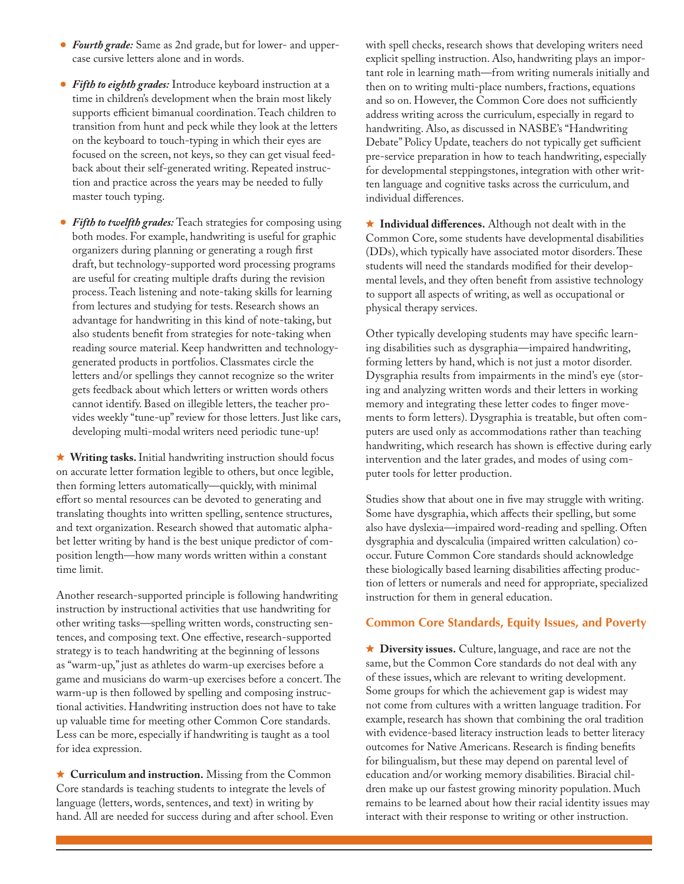- *Fourth grade:* Same as 2nd grade, but for lower- and uppercase cursive letters alone and in words.
- *Fifth to eighth grades:* Introduce keyboard instruction at a time in children's development when the brain most likely supports efficient bimanual coordination. Teach children to transition from hunt and peck while they look at the letters on the keyboard to touch-typing in which their eyes are focused on the screen, not keys, so they can get visual feedback about their self-generated writing. Repeated instruction and practice across the years may be needed to fully master touch typing.
- *Fifth to twelfth grades:* Teach strategies for composing using both modes. For example, handwriting is useful for graphic organizers during planning or generating a rough first draft, but technology-supported word processing programs are useful for creating multiple drafts during the revision process. Teach listening and note-taking skills for learning from lectures and studying for tests. Research shows an advantage for handwriting in this kind of note-taking, but also students benefit from strategies for note-taking when reading source material. Keep handwritten and technologygenerated products in portfolios. Classmates circle the letters and/or spellings they cannot recognize so the writer gets feedback about which letters or written words others cannot identify. Based on illegible letters, the teacher provides weekly "tune-up" review for those letters. Just like cars, developing multi-modal writers need periodic tune-up!

 **Writing tasks.** Initial handwriting instruction should focus on accurate letter formation legible to others, but once legible, then forming letters automatically—quickly, with minimal effort so mental resources can be devoted to generating and translating thoughts into written spelling, sentence structures, and text organization. Research showed that automatic alphabet letter writing by hand is the best unique predictor of composition length—how many words written within a constant time limit.

Another research-supported principle is following handwriting instruction by instructional activities that use handwriting for other writing tasks—spelling written words, constructing sentences, and composing text. One effective, research-supported strategy is to teach handwriting at the beginning of lessons as "warm-up," just as athletes do warm-up exercises before a game and musicians do warm-up exercises before a concert. The warm-up is then followed by spelling and composing instructional activities. Handwriting instruction does not have to take up valuable time for meeting other Common Core standards. Less can be more, especially if handwriting is taught as a tool for idea expression.

 **Curriculum and instruction.** Missing from the Common Core standards is teaching students to integrate the levels of language (letters, words, sentences, and text) in writing by hand. All are needed for success during and after school. Even with spell checks, research shows that developing writers need explicit spelling instruction. Also, handwriting plays an important role in learning math—from writing numerals initially and then on to writing multi-place numbers, fractions, equations and so on. However, the Common Core does not sufficiently address writing across the curriculum, especially in regard to handwriting. Also, as discussed in NASBE's "Handwriting Debate" Policy Update, teachers do not typically get sufficient pre-service preparation in how to teach handwriting, especially for developmental steppingstones, integration with other written language and cognitive tasks across the curriculum, and individual differences.

 $\star$  **Individual differences.** Although not dealt with in the Common Core, some students have developmental disabilities (DDs), which typically have associated motor disorders. These students will need the standards modified for their developmental levels, and they often benefit from assistive technology to support all aspects of writing, as well as occupational or physical therapy services.

Other typically developing students may have specific learning disabilities such as dysgraphia—impaired handwriting, forming letters by hand, which is not just a motor disorder. Dysgraphia results from impairments in the mind's eye (storing and analyzing written words and their letters in working memory and integrating these letter codes to finger movements to form letters). Dysgraphia is treatable, but often computers are used only as accommodations rather than teaching handwriting, which research has shown is effective during early intervention and the later grades, and modes of using computer tools for letter production.

Studies show that about one in five may struggle with writing. Some have dysgraphia, which affects their spelling, but some also have dyslexia—impaired word-reading and spelling. Often dysgraphia and dyscalculia (impaired written calculation) cooccur. Future Common Core standards should acknowledge these biologically based learning disabilities affecting production of letters or numerals and need for appropriate, specialized instruction for them in general education.

## **Common Core Standards, Equity Issues, and Poverty**

 **Diversity issues.** Culture, language, and race are not the same, but the Common Core standards do not deal with any of these issues, which are relevant to writing development. Some groups for which the achievement gap is widest may not come from cultures with a written language tradition. For example, research has shown that combining the oral tradition with evidence-based literacy instruction leads to better literacy outcomes for Native Americans. Research is finding benefits for bilingualism, but these may depend on parental level of education and/or working memory disabilities. Biracial children make up our fastest growing minority population. Much remains to be learned about how their racial identity issues may interact with their response to writing or other instruction.